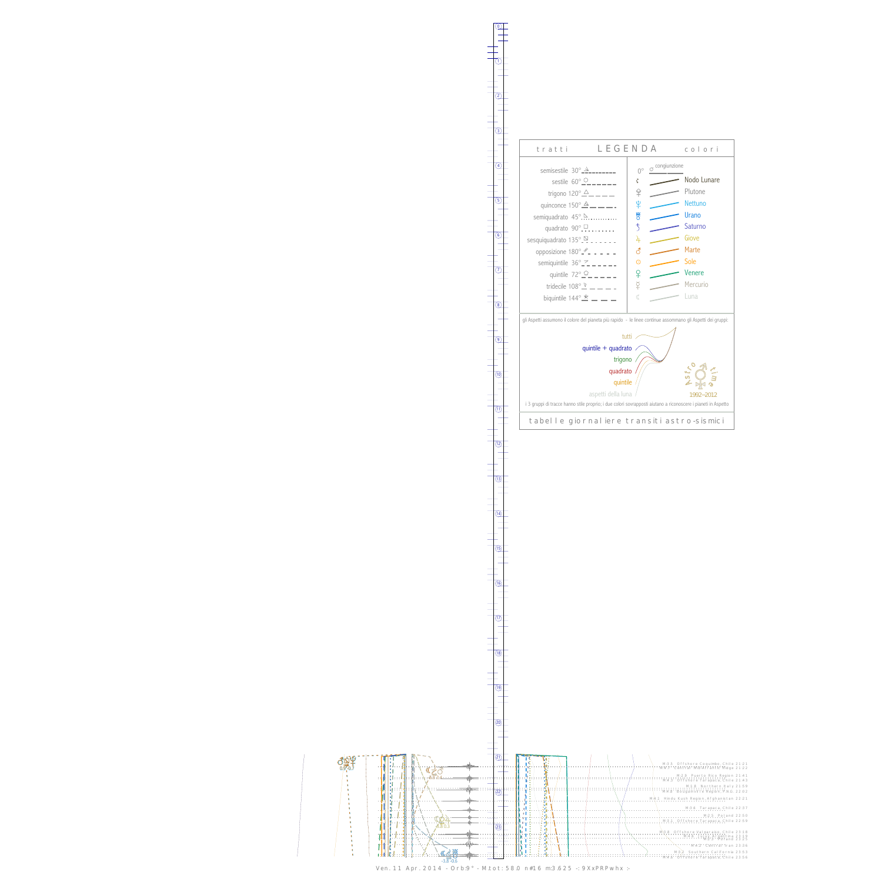